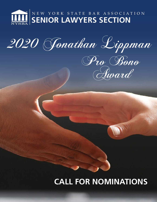

2020 Jonathan Lippman



# **CALL FOR NOMINATIONS**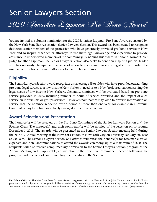# Senior Lawyers Section

2020 Jonathan Lippman Pro Bono Award

You are invited to submit a nomination for the 2020 Jonathan Lippman Pro Bono Award sponsored by the New York State Bar Association Senior Lawyers Section. This award has been created to recognize dedicated senior members of our profession who have generously provided pro bono service in New York and to inspire other senior attorneys to use their legal knowledge and experience to provide assistance to underserved members of the community. By naming this award in honor of former Chief Judge Jonathan Lippman, the Senior Lawyers Section also seeks to honor an inspiring judicial leader who has zealously championed the cause of access to justice and has encouraged and supported the unique contributions of senior attorneys to the pro bono mission.

### **Eligibility**

The Senior Lawyers Section award recognizes attorneys age 55 or older who have provided outstanding pro bono legal service to a low-income New Yorker in need or to a New York organization serving the legal needs of low-income New Yorkers. Generally, nominees will be evaluated based on pro bono service provided in 2019, including number of hours of service provided and the impact of such service on individuals or groups serviced. However, nominators may wish to provide information on service that the nominee rendered over a period of more than one year, for example in a lawsuit. Candidates may be retired or actively engaged in the practice of law.

### **Award Selection and Presentation**

The honoree(s) will be selected by the Pro Bono Committee of the Senior Lawyers Section and the Section Chair. The honoree(s) and their nominator(s) will be notified of the selection on or around December 1, 2019. The awards will be presented at the Senior Lawyers Section meeting held during the NYSBA Annual Meeting at the New York Hilton in New York City on Thursday, January 30, 2020 at 9:00 a.m. The Senior Lawyers Section will offer to reimburse the honoree(s) for reasonable travel expenses and hotel accommodations to attend the awards ceremony, up to a maximum of \$600. The recipients will also receive complimentary admission to the Senior Lawyers Section program at the Annual Meeting and, if applicable, an invitation to the Executive Committee luncheon following the program, and one year of complimentary membership in the Section.

**For Public Officials:** The New York State Bar Association is registered with the New York State Joint Commission on Public Ethics pursuant to the Lobbying Act to engage in lobbying activities. Consequently, public officials cannot accept certain benefits from the Association. Further information can be obtained by contacting an official's agency ethics officer or the Association at (518) 463-3200.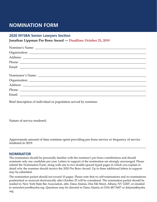## **NOMINATION FORM**

#### **2020 NYSBA Senior Lawyers Section**

**Jonathan Lippman Pro Bono Award — Deadline: October 25, 2019**

Brief description of individual or population served by nominee:

Nature of service rendered:

Approximate amount of time nominee spent providing pro bono service or frequency of service rendered in 2019:

\_\_\_\_\_\_\_\_\_\_\_\_\_\_\_\_\_\_\_\_\_\_\_\_\_\_\_\_\_\_\_\_\_\_\_\_\_\_\_\_\_\_\_\_\_\_\_\_\_\_\_\_\_\_\_\_\_\_\_\_\_\_\_\_\_\_\_\_\_\_\_\_\_\_\_\_\_\_\_\_\_\_\_\_\_\_\_\_\_

#### **NOMINATOR**

The nominators should be personally familiar with the nominee's pro bono contributions and should nominate only one candidate per year. Letters in support of the nomination are strongly encouraged. Please submit the Nomination Form, along with one to two double-spaced typed pages in which you explain in detail why the nominee should receive the 2020 Pro Bono Award. Up to three additional letters in support may be submitted.

The nomination packet should not exceed 10 pages. Please note that no self-nominations and no nominations postmarked or received electronically after October 25 will be considered. The nomination packet should be mailed to: New York State Bar Association, attn: Dana Alamia, One Elk Street, Albany, NY 12207, or emailed to seniorlawyers@nysba.org. Questions may be directed to Dana Alamia at (518) 487-5607 or dalamia[@nysba.](mailto:sbugos@nysba.org) [org](mailto:sbugos@nysba.org).